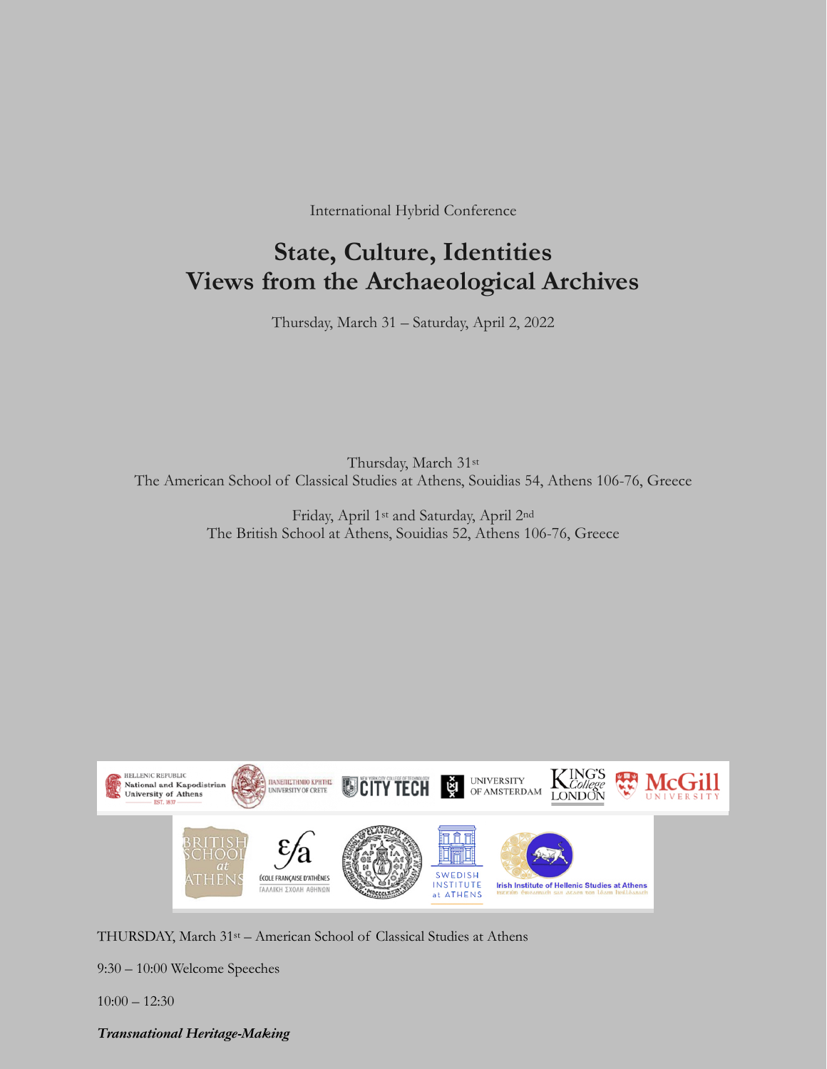International Hybrid Conference

# **State, Culture, Identities Views from the Archaeological Archives**

Thursday, March 31 – Saturday, April 2, 2022

Thursday, March 31st The American School of Classical Studies at Athens, Souidias 54, Athens 106-76, Greece

> Friday, April 1st and Saturday, April 2nd The British School at Athens, Souidias 52, Athens 106-76, Greece



THURSDAY, March 31st – American School of Classical Studies at Athens

9:30 – 10:00 Welcome Speeches

10:00 – 12:30

# *Transnational Heritage-Making*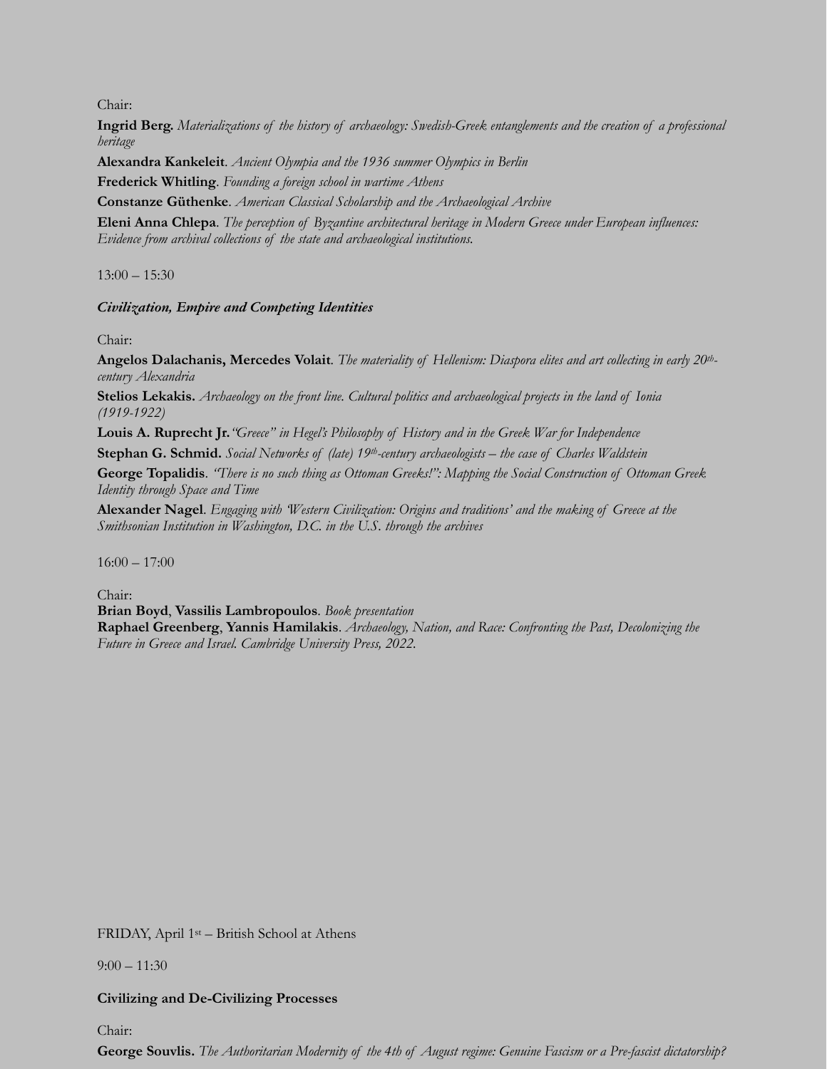Chair:

**Ingrid Berg.** *Materializations of the history of archaeology: Swedish-Greek entanglements and the creation of a professional heritage*

**Alexandra Kankeleit**. *Ancient Olympia and the 1936 summer Olympics in Berlin*

**Frederick Whitling**. *Founding a foreign school in wartime Athens*

**Constanze Güthenke**. *American Classical Scholarship and the Archaeological Archive*

**Eleni Anna Chlepa**. *The perception of Byzantine architectural heritage in Modern Greece under European influences: Evidence from archival collections of the state and archaeological institutions.*

13:00 – 15:30

## *Civilization, Empire and Competing Identities*

Chair:

**Angelos Dalachanis, Mercedes Volait***. The materiality of Hellenism: Diaspora elites and art collecting in early 20thcentury Alexandria*

**Stelios Lekakis.** *Archaeology on the front line. Cultural politics and archaeological projects in the land of Ionia (1919-1922)*

**Louis A. Ruprecht Jr.***"Greece" in Hegel's Philosophy of History and in the Greek War for Independence*

**Stephan G. Schmid.** *Social Networks of (late) 19th-century archaeologists – the case of Charles Waldstein*

**George Topalidis**. *"There is no such thing as Ottoman Greeks!": Mapping the Social Construction of Ottoman Greek Identity through Space and Time* 

**Alexander Nagel**. *Engaging with 'Western Civilization: Origins and traditions' and the making of Greece at the Smithsonian Institution in Washington, D.C. in the U.S. through the archives*

 $16:00 - 17:00$ 

Chair: **Brian Boyd**, **Vassilis Lambropoulos**. *Book presentation* **Raphael Greenberg**, **Yannis Hamilakis**. *Archaeology, Nation, and Race: Confronting the Past, Decolonizing the Future in Greece and Israel. Cambridge University Press, 2022.*

FRIDAY, April 1st – British School at Athens

 $9:00 - 11:30$ 

## **Civilizing and De-Civilizing Processes**

Chair:

**George Souvlis.** *The Authoritarian Modernity of the 4th of August regime: Genuine Fascism or a Pre-fascist dictatorship?*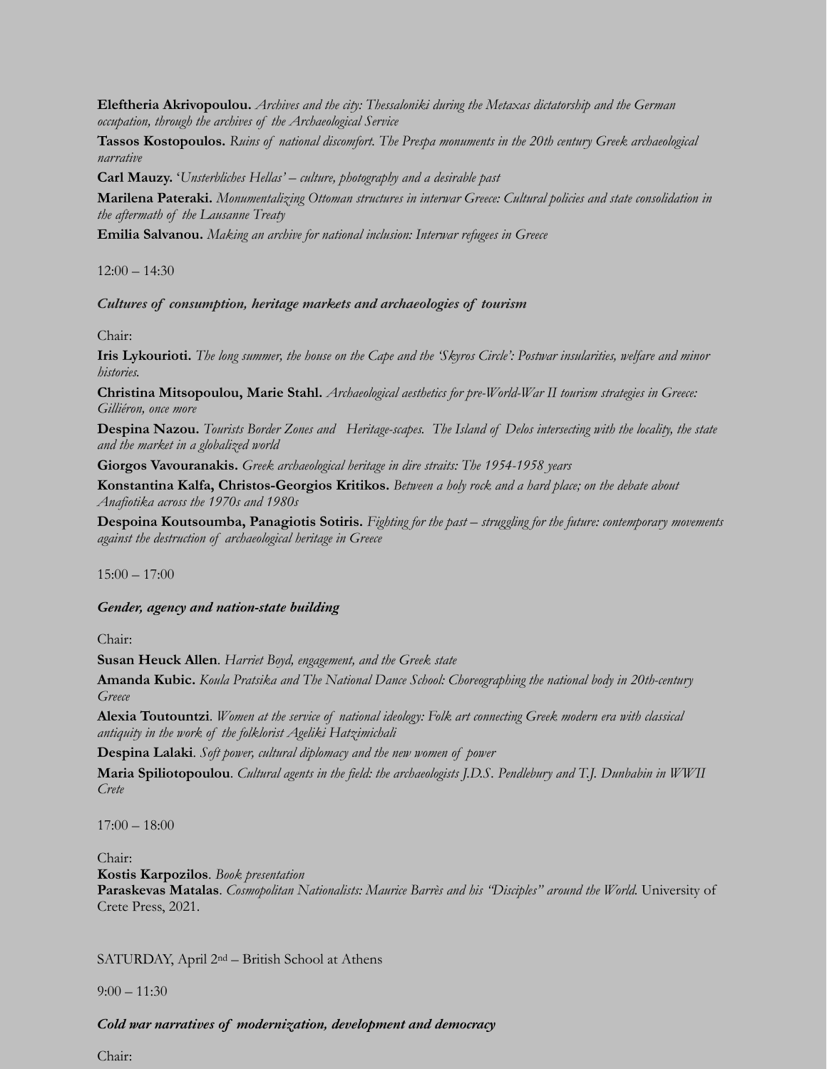**Eleftheria Akrivopoulou.** *Archives and the city: Thessaloniki during the Metaxas dictatorship and the German occupation, through the archives of the Archaeological Service*

**Tassos Kostopoulos.** *Ruins of national discomfort. The Prespa monuments in the 20th century Greek archaeological narrative*

**Carl Mauzy.** '*Unsterbliches Hellas' – culture, photography and a desirable past*

**Marilena Pateraki.** *Monumentalizing Ottoman structures in interwar Greece: Cultural policies and state consolidation in the aftermath of the Lausanne Treaty*

**Emilia Salvanou.** *Making an archive for national inclusion: Interwar refugees in Greece*

 $12:00 - 14:30$ 

#### *Cultures of consumption, heritage markets and archaeologies of tourism*

Chair:

**Iris Lykourioti.** *The long summer, the house on the Cape and the 'Skyros Circle': Postwar insularities, welfare and minor histories.*

**Christina Mitsopoulou, Marie Stahl.** *Archaeological aesthetics for pre-World-War II tourism strategies in Greece: Gilliéron, once more*

**Despina Nazou.** *Tourists Border Zones and Heritage-scapes. The Island of Delos intersecting with the locality, the state and the market in a globalized world*

**Giorgos Vavouranakis.** *Greek archaeological heritage in dire straits: The 1954-1958 years*

**Konstantina Kalfa, Christos-Georgios Kritikos.** *Between a holy rock and a hard place; on the debate about Anafiotika across the 1970s and 1980s*

**Despoina Koutsoumba, Panagiotis Sotiris.** *Fighting for the past – struggling for the future: contemporary movements against the destruction of archaeological heritage in Greece*

 $15:00 - 17:00$ 

*Gender, agency and nation-state building* 

Chair:

**Susan Heuck Allen**. *Harriet Boyd, engagement, and the Greek state*

**Amanda Kubic.** *Koula Pratsika and The National Dance School: Choreographing the national body in 20th-century Greece*

**Alexia Toutountzi**. *Women at the service of national ideology: Folk art connecting Greek modern era with classical antiquity in the work of the folklorist Ageliki Hatzimichali*

**Despina Lalaki**. *Soft power, cultural diplomacy and the new women of power*

**Maria Spiliotopoulou**. *Cultural agents in the field: the archaeologists J.D.S. Pendlebury and T.J. Dunbabin in WWII Crete*

17:00 – 18:00

Chair: **Kostis Karpozilos**. *Book presentation* **Paraskevas Matalas**. *Cosmopolitan Nationalists: Maurice Barrès and his "Disciples" around the World.* University of Crete Press, 2021.

SATURDAY, April 2nd – British School at Athens

 $9:00 - 11:30$ 

## *Cold war narratives of modernization, development and democracy*

Chair: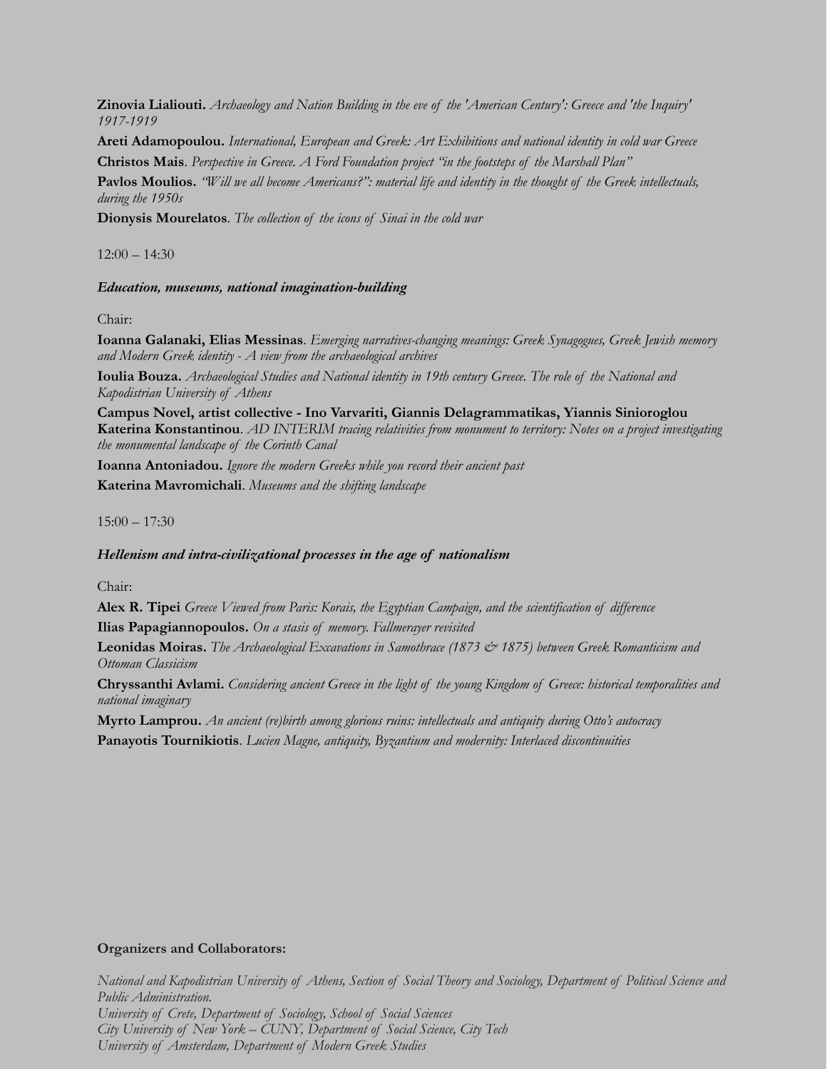**Zinovia Lialiouti.** *Archaeology and Nation Building in the eve of the 'American Century': Greece and 'the Inquiry' 1917-1919*

**Areti Adamopoulou.** *International, European and Greek: Art Exhibitions and national identity in cold war Greece* **Christos Mais**. *Perspective in Greece. A Ford Foundation project "in the footsteps of the Marshall Plan"*

**Pavlos Moulios.** *"Will we all become Americans?": material life and identity in the thought of the Greek intellectuals, during the 1950s*

**Dionysis Mourelatos**. *The collection of the icons of Sinai in the cold war*

 $12:00 - 14:30$ 

## *Education, museums, national imagination-building*

Chair:

**Ioanna Galanaki, Elias Messinas**. *Emerging narratives-changing meanings: Greek Synagogues, Greek Jewish memory and Modern Greek identity - A view from the archaeological archives*

**Ioulia Bouza.** *Archaeological Studies and National identity in 19th century Greece. The role of the National and Kapodistrian University of Athens*

**Campus Novel, artist collective - Ino Varvariti, Giannis Delagrammatikas, Yiannis Sinioroglou Katerina Konstantinou**. *AD INTERIM tracing relativities from monument to territory: Notes on a project investigating the monumental landscape of the Corinth Canal*

**Ioanna Antoniadou.** *Ignore the modern Greeks while you record their ancient past* **Katerina Mavromichali**. *Museums and the shifting landscape*

 $15:00 - 17:30$ 

## *Hellenism and intra-civilizational processes in the age of nationalism*

Chair:

**Alex R. Tipei** *Greece Viewed from Paris: Korais, the Egyptian Campaign, and the scientification of difference* **Ilias Papagiannopoulos.** *On a stasis of memory. Fallmerayer revisited*

**Leonidas Moiras.** *The Archaeological Excavations in Samothrace (1873 & 1875) between Greek Romanticism and Ottoman Classicism*

**Chryssanthi Avlami.** *Considering ancient Greece in the light of the young Kingdom of Greece: historical temporalities and national imaginary*

**Myrto Lamprou.** *An ancient (re)birth among glorious ruins: intellectuals and antiquity during Otto's autocracy*

**Panayotis Tournikiotis**. *Lucien Magne, antiquity, Byzantium and modernity: Interlaced discontinuities*

## **Organizers and Collaborators:**

*National and Kapodistrian University of Athens, Section of Social Theory and Sociology, Department of Political Science and Public Administration. University of Crete, Department of Sociology, School of Social Sciences City University of New York – CUNY, Department of Social Science, City Tech University of Amsterdam, Department of Modern Greek Studies*